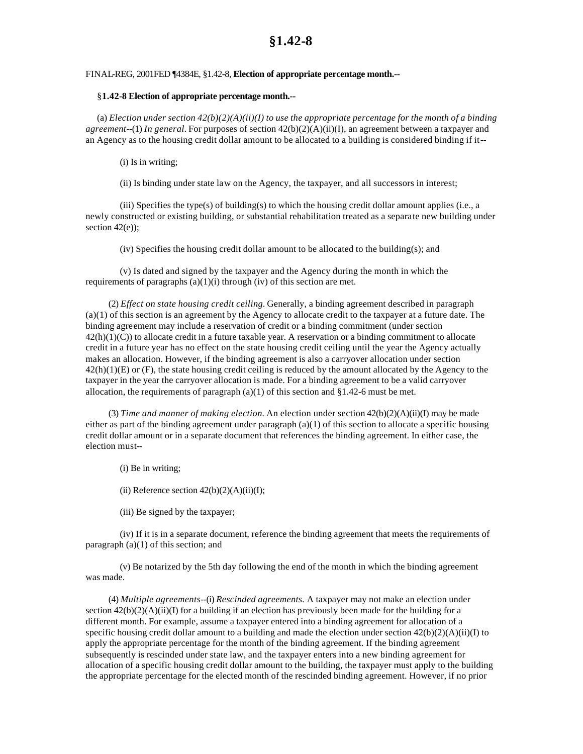## **§1.42-8**

## FINAL-REG, 2001FED ¶4384E, §1.42-8, **Election of appropriate percentage month.**--

## §**1.42-8 Election of appropriate percentage month.--**

(a) *Election under section 42(b)(2)(A)(ii)(I) to use the appropriate percentage for the month of a binding agreement*--(1) *In general.* For purposes of section 42(b)(2)(A)(ii)(I), an agreement between a taxpayer and an Agency as to the housing credit dollar amount to be allocated to a building is considered binding if it--

(i) Is in writing;

(ii) Is binding under state law on the Agency, the taxpayer, and all successors in interest;

(iii) Specifies the type(s) of building(s) to which the housing credit dollar amount applies (i.e., a newly constructed or existing building, or substantial rehabilitation treated as a separate new building under section  $42(e)$ :

 $(iv)$  Specifies the housing credit dollar amount to be allocated to the building(s); and

(v) Is dated and signed by the taxpayer and the Agency during the month in which the requirements of paragraphs  $(a)(1)(i)$  through (iv) of this section are met.

(2) *Effect on state housing credit ceiling.* Generally, a binding agreement described in paragraph (a)(1) of this section is an agreement by the Agency to allocate credit to the taxpayer at a future date. The binding agreement may include a reservation of credit or a binding commitment (under section 42(h)(1)(C)) to allocate credit in a future taxable year. A reservation or a binding commitment to allocate credit in a future year has no effect on the state housing credit ceiling until the year the Agency actually makes an allocation. However, if the binding agreement is also a carryover allocation under section  $42(h)(1)(E)$  or  $(F)$ , the state housing credit ceiling is reduced by the amount allocated by the Agency to the taxpayer in the year the carryover allocation is made. For a binding agreement to be a valid carryover allocation, the requirements of paragraph  $(a)(1)$  of this section and §1.42-6 must be met.

(3) *Time and manner of making election.* An election under section 42(b)(2)(A)(ii)(I) may be made either as part of the binding agreement under paragraph  $(a)(1)$  of this section to allocate a specific housing credit dollar amount or in a separate document that references the binding agreement. In either case, the election must--

(i) Be in writing;

(ii) Reference section  $42(b)(2)(A)(ii)(I);$ 

(iii) Be signed by the taxpayer;

(iv) If it is in a separate document, reference the binding agreement that meets the requirements of paragraph (a)(1) of this section; and

(v) Be notarized by the 5th day following the end of the month in which the binding agreement was made.

(4) *Multiple agreements*--(i) *Rescinded agreements.* A taxpayer may not make an election under section  $42(b)(2)(A)(ii)(I)$  for a building if an election has previously been made for the building for a different month. For example, assume a taxpayer entered into a binding agreement for allocation of a specific housing credit dollar amount to a building and made the election under section  $42(b)(2)(A)(ii)(I)$  to apply the appropriate percentage for the month of the binding agreement. If the binding agreement subsequently is rescinded under state law, and the taxpayer enters into a new binding agreement for allocation of a specific housing credit dollar amount to the building, the taxpayer must apply to the building the appropriate percentage for the elected month of the rescinded binding agreement. However, if no prior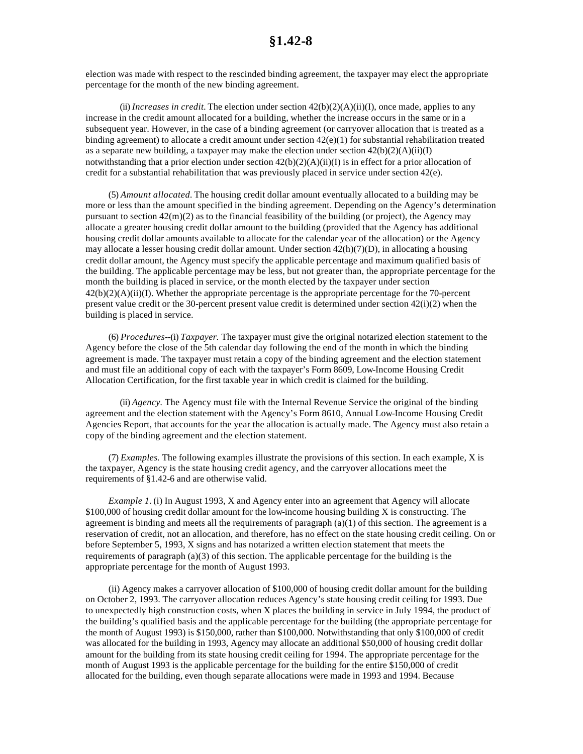election was made with respect to the rescinded binding agreement, the taxpayer may elect the appropriate percentage for the month of the new binding agreement.

(ii) *Increases in credit*. The election under section  $42(b)(2)(A)(ii)(I)$ , once made, applies to any increase in the credit amount allocated for a building, whether the increase occurs in the same or in a subsequent year. However, in the case of a binding agreement (or carryover allocation that is treated as a binding agreement) to allocate a credit amount under section  $42(e)(1)$  for substantial rehabilitation treated as a separate new building, a taxpayer may make the election under section  $42(b)(2)(A)(ii)(I)$ notwithstanding that a prior election under section  $42(b)(2)(A)(ii)(I)$  is in effect for a prior allocation of credit for a substantial rehabilitation that was previously placed in service under section 42(e).

(5) *Amount allocated.* The housing credit dollar amount eventually allocated to a building may be more or less than the amount specified in the binding agreement. Depending on the Agency's determination pursuant to section  $42(m)(2)$  as to the financial feasibility of the building (or project), the Agency may allocate a greater housing credit dollar amount to the building (provided that the Agency has additional housing credit dollar amounts available to allocate for the calendar year of the allocation) or the Agency may allocate a lesser housing credit dollar amount. Under section  $42(h)(7)(D)$ , in allocating a housing credit dollar amount, the Agency must specify the applicable percentage and maximum qualified basis of the building. The applicable percentage may be less, but not greater than, the appropriate percentage for the month the building is placed in service, or the month elected by the taxpayer under section  $42(b)(2)(A)(ii)(I)$ . Whether the appropriate percentage is the appropriate percentage for the 70-percent present value credit or the 30-percent present value credit is determined under section 42(i)(2) when the building is placed in service.

(6) *Procedures*--(i) *Taxpayer.* The taxpayer must give the original notarized election statement to the Agency before the close of the 5th calendar day following the end of the month in which the binding agreement is made. The taxpayer must retain a copy of the binding agreement and the election statement and must file an additional copy of each with the taxpayer's Form 8609, Low-Income Housing Credit Allocation Certification, for the first taxable year in which credit is claimed for the building.

(ii) *Agency.* The Agency must file with the Internal Revenue Service the original of the binding agreement and the election statement with the Agency's Form 8610, Annual Low-Income Housing Credit Agencies Report, that accounts for the year the allocation is actually made. The Agency must also retain a copy of the binding agreement and the election statement.

(7) *Examples.* The following examples illustrate the provisions of this section. In each example, X is the taxpayer, Agency is the state housing credit agency, and the carryover allocations meet the requirements of §1.42-6 and are otherwise valid.

*Example 1.* (i) In August 1993, X and Agency enter into an agreement that Agency will allocate \$100,000 of housing credit dollar amount for the low-income housing building X is constructing. The agreement is binding and meets all the requirements of paragraph  $(a)(1)$  of this section. The agreement is a reservation of credit, not an allocation, and therefore, has no effect on the state housing credit ceiling. On or before September 5, 1993, X signs and has notarized a written election statement that meets the requirements of paragraph  $(a)(3)$  of this section. The applicable percentage for the building is the appropriate percentage for the month of August 1993.

(ii) Agency makes a carryover allocation of \$100,000 of housing credit dollar amount for the building on October 2, 1993. The carryover allocation reduces Agency's state housing credit ceiling for 1993. Due to unexpectedly high construction costs, when X places the building in service in July 1994, the product of the building's qualified basis and the applicable percentage for the building (the appropriate percentage for the month of August 1993) is \$150,000, rather than \$100,000. Notwithstanding that only \$100,000 of credit was allocated for the building in 1993, Agency may allocate an additional \$50,000 of housing credit dollar amount for the building from its state housing credit ceiling for 1994. The appropriate percentage for the month of August 1993 is the applicable percentage for the building for the entire \$150,000 of credit allocated for the building, even though separate allocations were made in 1993 and 1994. Because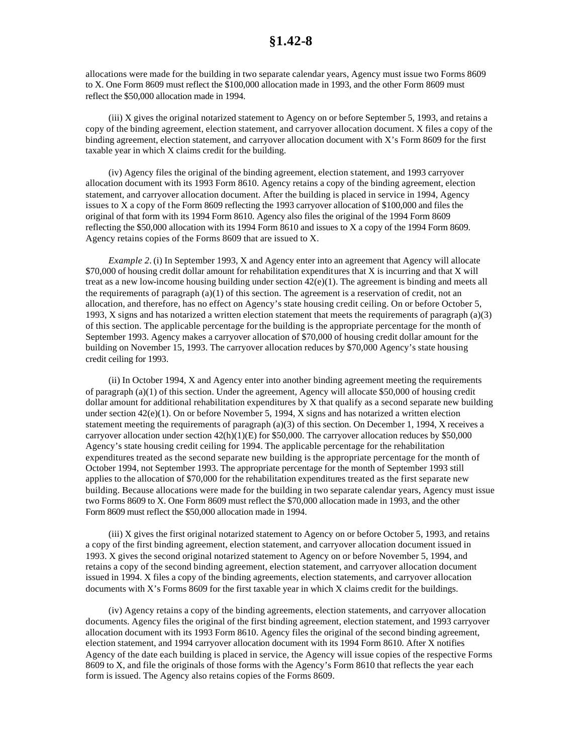allocations were made for the building in two separate calendar years, Agency must issue two Forms 8609 to X. One Form 8609 must reflect the \$100,000 allocation made in 1993, and the other Form 8609 must reflect the \$50,000 allocation made in 1994.

(iii) X gives the original notarized statement to Agency on or before September 5, 1993, and retains a copy of the binding agreement, election statement, and carryover allocation document. X files a copy of the binding agreement, election statement, and carryover allocation document with X's Form 8609 for the first taxable year in which X claims credit for the building.

(iv) Agency files the original of the binding agreement, election statement, and 1993 carryover allocation document with its 1993 Form 8610. Agency retains a copy of the binding agreement, election statement, and carryover allocation document. After the building is placed in service in 1994, Agency issues to X a copy of the Form 8609 reflecting the 1993 carryover allocation of \$100,000 and files the original of that form with its 1994 Form 8610. Agency also files the original of the 1994 Form 8609 reflecting the \$50,000 allocation with its 1994 Form 8610 and issues to X a copy of the 1994 Form 8609. Agency retains copies of the Forms 8609 that are issued to X.

*Example 2.* (i) In September 1993, X and Agency enter into an agreement that Agency will allocate \$70,000 of housing credit dollar amount for rehabilitation expenditures that X is incurring and that X will treat as a new low-income housing building under section  $42(e)(1)$ . The agreement is binding and meets all the requirements of paragraph (a)(1) of this section. The agreement is a reservation of credit, not an allocation, and therefore, has no effect on Agency's state housing credit ceiling. On or before October 5, 1993, X signs and has notarized a written election statement that meets the requirements of paragraph  $(a)(3)$ of this section. The applicable percentage for the building is the appropriate percentage for the month of September 1993. Agency makes a carryover allocation of \$70,000 of housing credit dollar amount for the building on November 15, 1993. The carryover allocation reduces by \$70,000 Agency's state housing credit ceiling for 1993.

(ii) In October 1994, X and Agency enter into another binding agreement meeting the requirements of paragraph (a)(1) of this section. Under the agreement, Agency will allocate \$50,000 of housing credit dollar amount for additional rehabilitation expenditures by  $X$  that qualify as a second separate new building under section  $42(e)(1)$ . On or before November 5, 1994, X signs and has notarized a written election statement meeting the requirements of paragraph (a)(3) of this section. On December 1, 1994, X receives a carryover allocation under section 42(h)(1)(E) for \$50,000. The carryover allocation reduces by \$50,000 Agency's state housing credit ceiling for 1994. The applicable percentage for the rehabilitation expenditures treated as the second separate new building is the appropriate percentage for the month of October 1994, not September 1993. The appropriate percentage for the month of September 1993 still applies to the allocation of \$70,000 for the rehabilitation expenditures treated as the first separate new building. Because allocations were made for the building in two separate calendar years, Agency must issue two Forms 8609 to X. One Form 8609 must reflect the \$70,000 allocation made in 1993, and the other Form 8609 must reflect the \$50,000 allocation made in 1994.

(iii) X gives the first original notarized statement to Agency on or before October 5, 1993, and retains a copy of the first binding agreement, election statement, and carryover allocation document issued in 1993. X gives the second original notarized statement to Agency on or before November 5, 1994, and retains a copy of the second binding agreement, election statement, and carryover allocation document issued in 1994. X files a copy of the binding agreements, election statements, and carryover allocation documents with X's Forms 8609 for the first taxable year in which X claims credit for the buildings.

(iv) Agency retains a copy of the binding agreements, election statements, and carryover allocation documents. Agency files the original of the first binding agreement, election statement, and 1993 carryover allocation document with its 1993 Form 8610. Agency files the original of the second binding agreement, election statement, and 1994 carryover allocation document with its 1994 Form 8610. After X notifies Agency of the date each building is placed in service, the Agency will issue copies of the respective Forms 8609 to X, and file the originals of those forms with the Agency's Form 8610 that reflects the year each form is issued. The Agency also retains copies of the Forms 8609.